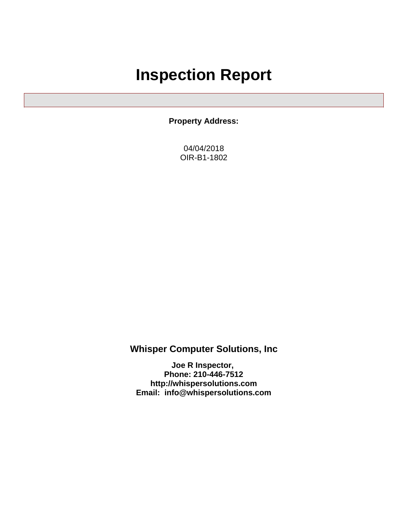# **Inspection Report**

**Property Address:**

04/04/2018 OIR-B1-1802

### **Whisper Computer Solutions, Inc**

**Joe R Inspector, Phone: 210-446-7512 <http://whispersolutions.com> Email: info@whispersolutions.com**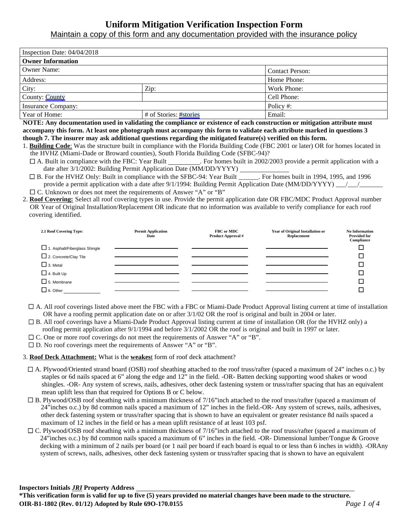### **Uniform Mitigation Verification Inspection Form**

Maintain a copy of this form and any documentation provided with the insurance policy

| Inspection Date: $04/04/2018$ |                        |                        |  |  |
|-------------------------------|------------------------|------------------------|--|--|
| <b>Owner Information</b>      |                        |                        |  |  |
| <b>Owner Name:</b>            |                        | <b>Contact Person:</b> |  |  |
| Address:                      |                        | Home Phone:            |  |  |
| City:<br>Zip:                 |                        | Work Phone:            |  |  |
| County: County                |                        | Cell Phone:            |  |  |
| Insurance Company:            |                        | Policy #:              |  |  |
| Year of Home:                 | # of Stories: #stories | Email:                 |  |  |

**NOTE: Any documentation used in validating the compliance or existence of each construction or mitigation attribute must accompany this form. At least one photograph must accompany this form to validate each attribute marked in questions 3 though 7. The insurer may ask additional questions regarding the mitigated feature(s) verified on this form.**

1. **Building Code**: Was the structure built in compliance with the Florida Building Code (FBC 2001 or later) OR for homes located in the HVHZ (Miami-Dade or Broward counties), South Florida Building Code (SFBC-94)?

- $\Box$  A. Built in compliance with the FBC: Year Built  $\Box$ . For homes built in 2002/2003 provide a permit application with a date after 3/1/2002: Building Permit Application Date (MM/DD/YYYY)
- B. For the HVHZ Only: Built in compliance with the SFBC-94: Year Built \_\_\_\_\_\_. For homes built in 1994, 1995, and 1996 provide a permit application with a date after  $9/1/1994$ : Building Permit Application Date (MM/DD/YYYY)  $\qquad$  /

 $\Box$  C. Unknown or does not meet the requirements of Answer "A" or "B"

2. **Roof Covering:** Select all roof covering types in use. Provide the permit application date OR FBC/MDC Product Approval number OR Year of Original Installation/Replacement OR indicate that no information was available to verify compliance for each roof covering identified.

| 2.1 Roof Covering Type:       | <b>Permit Application</b><br>Date | FBC or MDC<br><b>Product Approval #</b> | Year of Original Installation or<br>Replacement | <b>No Information</b><br><b>Provided for</b><br>Compliance |
|-------------------------------|-----------------------------------|-----------------------------------------|-------------------------------------------------|------------------------------------------------------------|
| 1. Asphalt/Fiberglass Shingle |                                   |                                         |                                                 |                                                            |
| 2. Concrete/Clay Tile         |                                   |                                         |                                                 |                                                            |
| $\Box$ 3. Metal               |                                   |                                         |                                                 |                                                            |
| $\Box$ 4. Built Up            |                                   |                                         |                                                 |                                                            |
| $\Box$ 5. Membrane            |                                   |                                         |                                                 |                                                            |
| $\Box$ 6. Other               |                                   |                                         |                                                 |                                                            |

- $\Box$  A. All roof coverings listed above meet the FBC with a FBC or Miami-Dade Product Approval listing current at time of installation OR have a roofing permit application date on or after 3/1/02 OR the roof is original and built in 2004 or later.
- B. All roof coverings have a Miami-Dade Product Approval listing current at time of installation OR (for the HVHZ only) a roofing permit application after 9/1/1994 and before 3/1/2002 OR the roof is original and built in 1997 or later.
- $\Box$  C. One or more roof coverings do not meet the requirements of Answer "A" or "B".
- $\square$  D. No roof coverings meet the requirements of Answer "A" or "B".

3. **Roof Deck Attachment:** What is the **weakes**t form of roof deck attachment?

- A. Plywood/Oriented strand board (OSB) roof sheathing attached to the roof truss/rafter (spaced a maximum of 24" inches o.c.) by staples or 6d nails spaced at 6" along the edge and 12" in the field. -OR- Batten decking supporting wood shakes or wood shingles. -OR- Any system of screws, nails, adhesives, other deck fastening system or truss/rafter spacing that has an equivalent mean uplift less than that required for Options B or C below.
- $\Box$  B. Plywood/OSB roof sheathing with a minimum thickness of 7/16"inch attached to the roof truss/rafter (spaced a maximum of 24"inches o.c.) by 8d common nails spaced a maximum of 12" inches in the field.-OR- Any system of screws, nails, adhesives, other deck fastening system or truss/rafter spacing that is shown to have an equivalent or greater resistance 8d nails spaced a maximum of 12 inches in the field or has a mean uplift resistance of at least 103 psf.
- $\Box$  C. Plywood/OSB roof sheathing with a minimum thickness of 7/16"inch attached to the roof truss/rafter (spaced a maximum of 24"inches o.c.) by 8d common nails spaced a maximum of 6" inches in the field. -OR- Dimensional lumber/Tongue & Groove decking with a minimum of 2 nails per board (or 1 nail per board if each board is equal to or less than 6 inches in width). -ORAny system of screws, nails, adhesives, other deck fastening system or truss/rafter spacing that is shown to have an equivalent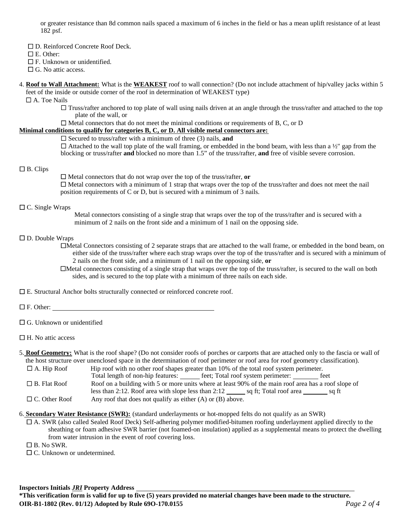or greater resistance than 8d common nails spaced a maximum of 6 inches in the field or has a mean uplift resistance of at least 182 psf.

- □ D. Reinforced Concrete Roof Deck.
- E. Other:
- $\Box$  F. Unknown or unidentified.
- □ G. No attic access.
- 4. **Roof to Wall Attachment:** What is the **WEAKEST** roof to wall connection? (Do not include attachment of hip/valley jacks within 5 feet of the inside or outside corner of the roof in determination of WEAKEST type)

A. Toe Nails

- $\Box$  Truss/rafter anchored to top plate of wall using nails driven at an angle through the truss/rafter and attached to the top plate of the wall, or
- $\Box$  Metal connectors that do not meet the minimal conditions or requirements of B, C, or D

#### **Minimal conditions to qualify for categories B, C, or D. All visible metal connectors are:**

 $\Box$  Secured to truss/rafter with a minimum of three (3) nails, **and** 

 $\Box$  Attached to the wall top plate of the wall framing, or embedded in the bond beam, with less than a ½" gap from the blocking or truss/rafter **and** blocked no more than 1.5" of the truss/rafter, **and** free of visible severe corrosion.

#### $\Box$  B. Clips

 $\Box$  Metal connectors that do not wrap over the top of the truss/rafter, or  $\Box$  Metal connectors with a minimum of 1 strap that wraps over the top of the truss/rafter and does not meet the nail position requirements of C or D, but is secured with a minimum of 3 nails.

#### $\Box$  C. Single Wraps

Metal connectors consisting of a single strap that wraps over the top of the truss/rafter and is secured with a minimum of 2 nails on the front side and a minimum of 1 nail on the opposing side.

#### $\square$  D. Double Wraps

Metal Connectors consisting of 2 separate straps that are attached to the wall frame, or embedded in the bond beam, on either side of the truss/rafter where each strap wraps over the top of the truss/rafter and is secured with a minimum of 2 nails on the front side, and a minimum of 1 nail on the opposing side, **or**

Metal connectors consisting of a single strap that wraps over the top of the truss/rafter, is secured to the wall on both sides, and is secured to the top plate with a minimum of three nails on each side.

 $\square$  E. Structural Anchor bolts structurally connected or reinforced concrete roof.

□ F. Other:

□ G. Unknown or unidentified

#### 5. **Roof Geometry:** What is the roof shape? (Do not consider roofs of porches or carports that are attached only to the fascia or wall of the host structure over unenclosed space in the determination of roof perimeter or roof area for roof geometry classification).

 $\Box$  A. Hip Roof Hip roof with no other roof shapes greater than 10% of the total roof system perimeter. Total length of non-hip features: \_\_\_\_\_\_ feet; Total roof system perimeter: \_\_\_\_\_\_\_\_ feet B. Flat Roof **Roof on a building with 5 or more units where at least 90% of the main roof area has a roof slope of** less than 2:12. Roof area with slope less than  $2:12$  sq ft; Total roof area sq ft

 $\Box$  C. Other Roof Any roof that does not qualify as either (A) or (B) above.

6. **Secondary Water Resistance (SWR):** (standard underlayments or hot-mopped felts do not qualify as an SWR)

- A. SWR (also called Sealed Roof Deck) Self-adhering polymer modified-bitumen roofing underlayment applied directly to the sheathing or foam adhesive SWR barrier (not foamed-on insulation) applied as a supplemental means to protect the dwelling from water intrusion in the event of roof covering loss.
- $\Box$  B. No SWR.
- □ C. Unknown or undetermined.

 $\Box$  H. No attic access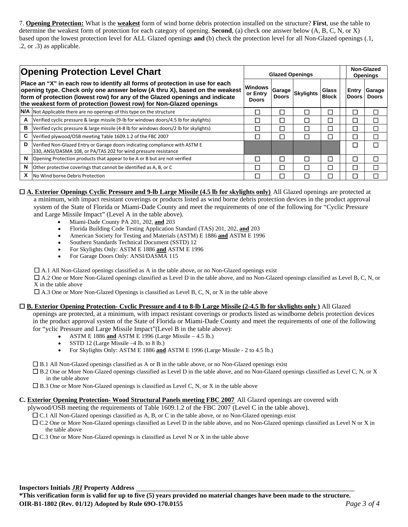7. **Opening Protection:** What is the **weakest** form of wind borne debris protection installed on the structure? **First**, use the table to determine the weakest form of protection for each category of opening. **Second**, (a) check one answer below (A, B, C, N, or X) based upon the lowest protection level for ALL Glazed openings **and** (b) check the protection level for all Non-Glazed openings (.1, .2, or .3) as applicable.

| <b>Opening Protection Level Chart</b> |                                                                                                                                                                                                                                                                                                                  | <b>Glazed Openings</b>                     |              |   |                       | Non-Glazed<br><b>Openings</b> |                        |
|---------------------------------------|------------------------------------------------------------------------------------------------------------------------------------------------------------------------------------------------------------------------------------------------------------------------------------------------------------------|--------------------------------------------|--------------|---|-----------------------|-------------------------------|------------------------|
|                                       | Place an "X" in each row to identify all forms of protection in use for each<br>opening type. Check only one answer below (A thru X), based on the weakest<br>form of protection (lowest row) for any of the Glazed openings and indicate<br>the weakest form of protection (lowest row) for Non-Glazed openings | <b>Windows</b><br>or Entry<br><b>Doors</b> | <b>Doors</b> |   | Glass<br><b>Block</b> | Entry<br>∣Doors               | Garage<br><b>Doors</b> |
|                                       | $N/A$ Not Applicable there are no openings of this type on the structure                                                                                                                                                                                                                                         |                                            |              | Г | П                     |                               |                        |
| A                                     | Verified cyclic pressure & large missile (9-lb for windows doors/4.5 lb for skylights)                                                                                                                                                                                                                           |                                            |              | Г | П                     |                               |                        |
| в                                     | Verified cyclic pressure & large missile (4-8 lb for windows doors/2 lb for skylights)                                                                                                                                                                                                                           |                                            |              | ┍ |                       |                               |                        |
| C                                     | Verified plywood/OSB meeting Table 1609.1.2 of the FBC 2007                                                                                                                                                                                                                                                      |                                            |              | ┍ | П                     |                               |                        |
| D                                     | Verified Non-Glazed Entry or Garage doors indicating compliance with ASTM E<br>330, ANSI/DASMA 108, or PA/TAS 202 for wind pressure resistance                                                                                                                                                                   |                                            |              |   |                       |                               |                        |
| N                                     | Opening Protection products that appear to be A or B but are not verified                                                                                                                                                                                                                                        | Ξ                                          |              | ┍ | Г                     |                               |                        |
| N                                     | Other protective coverings that cannot be identified as A, B, or C                                                                                                                                                                                                                                               | Τ                                          |              | ┍ | П                     |                               | J.                     |
| X                                     | No Wind borne Debris Protection                                                                                                                                                                                                                                                                                  |                                            |              |   |                       |                               |                        |

**A. Exterior Openings Cyclic Pressure and 9-lb Large Missile (4.5 lb for skylights only)** All Glazed openings are protected at a minimum, with impact resistant coverings or products listed as wind borne debris protection devices in the product approval system of the State of Florida or Miami-Dade County and meet the requirements of one of the following for "Cyclic Pressure and Large Missile Impact" (Level A in the table above).

- Miami-Dade County PA 201, 202, **and** 203
- Florida Building Code Testing Application Standard (TAS) 201, 202, **and** 203
- American Society for Testing and Materials (ASTM) E 1886 **and** ASTM E 1996
- Southern Standards Technical Document (SSTD) 12
- For Skylights Only: ASTM E 1886 **and** ASTM E 1996
- For Garage Doors Only: ANSI/DASMA 115

 $\Box$  A.1 All Non-Glazed openings classified as A in the table above, or no Non-Glazed openings exist

 $\Box$  A.2 One or More Non-Glazed openings classified as Level D in the table above, and no Non-Glazed openings classified as Level B, C, N, or X in the table above

 $\Box$  A.3 One or More Non-Glazed Openings is classified as Level B, C, N, or X in the table above

#### **B. Exterior Opening Protection- Cyclic Pressure and 4 to 8-lb Large Missile (2-4.5 lb for skylights only )** All Glazed

openings are protected, at a minimum, with impact resistant coverings or products listed as windborne debris protection devices in the product approval system of the State of Florida or Miami-Dade County and meet the requirements of one of the following for "yclic Pressure and Large Missile Impact"(Level B in the table above):

- ASTM E 1886 **and** ASTM E 1996 (Large Missile 4.5 lb.)  $\bullet$
- SSTD 12 (Large Missile –4 lb. to 8 lb.)
- For Skylights Only: ASTM E 1886 **and** ASTM E 1996 (Large Missile 2 to 4.5 lb.)

 $\square$  B.1 All Non-Glazed openings classified as A or B in the table above, or no Non-Glazed openings exist

- $\Box$  B.2 One or More Non-Glazed openings classified as Level D in the table above, and no Non-Glazed openings classified as Level C, N, or X in the table above
- $\Box$  B.3 One or More Non-Glazed openings is classified as Level C, N, or X in the table above

#### **C. Exterior Opening Protection- Wood Structural Panels meeting FBC 2007** All Glazed openings are covered with

plywood/OSB meeting the requirements of Table 1609.1.2 of the FBC 2007 (Level C in the table above).

- $\Box$  C.1 All Non-Glazed openings classified as A, B, or C in the table above, or no Non-Glazed openings exist
- C.2 One or More Non-Glazed openings classified as Level D in the table above, and no Non-Glazed openings classified as Level N or X in the table above
- $\Box$  C.3 One or More Non-Glazed openings is classified as Level N or X in the table above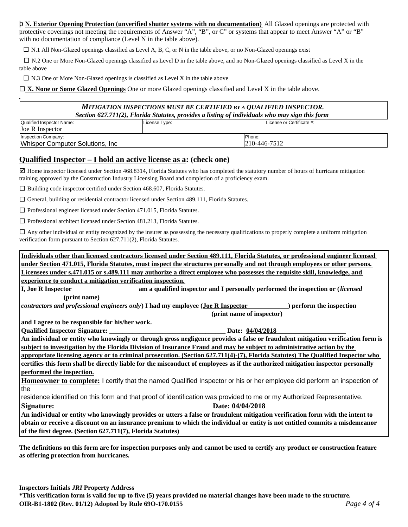þ **N. Exterior Opening Protection (unverified shutter systems with no documentation)** All Glazed openings are protected with protective coverings not meeting the requirements of Answer "A", "B", or C" or systems that appear to meet Answer "A" or "B" with no documentation of compliance (Level N in the table above).

 $\square$  N.1 All Non-Glazed openings classified as Level A, B, C, or N in the table above, or no Non-Glazed openings exist

 $\Box$  N.2 One or More Non-Glazed openings classified as Level D in the table above, and no Non-Glazed openings classified as Level X in the table above

 $\square$  N.3 One or More Non-Glazed openings is classified as Level X in the table above

**X. None or Some Glazed Openings** One or more Glazed openings classified and Level X in the table above.

| MITIGATION INSPECTIONS MUST BE CERTIFIED BY A QUALIFIED INSPECTOR.<br>Section 627.711(2), Florida Statutes, provides a listing of individuals who may sign this form |               |                                |                           |  |  |
|----------------------------------------------------------------------------------------------------------------------------------------------------------------------|---------------|--------------------------------|---------------------------|--|--|
| Qualified Inspector Name:<br>Joe R Inspector                                                                                                                         | License Type: |                                | License or Certificate #: |  |  |
| Inspection Company:<br>Whisper Computer Solutions, Inc.                                                                                                              |               | Phone:<br>$ 210 - 446 - 7512 $ |                           |  |  |

#### **Qualified Inspector – I hold an active license as a: (check one)**

 $\boxtimes$  Home inspector licensed under Section 468.8314, Florida Statutes who has completed the statutory number of hours of hurricane mitigation training approved by the Construction Industry Licensing Board and completion of a proficiency exam.

 $\Box$  Building code inspector certified under Section 468.607, Florida Statutes.

 $\Box$  General, building or residential contractor licensed under Section 489.111, Florida Statutes.

 $\Box$  Professional engineer licensed under Section 471.015, Florida Statutes.

 $\Box$  Professional architect licensed under Section 481.213, Florida Statutes.

 $\Box$  Any other individual or entity recognized by the insurer as possessing the necessary qualifications to properly complete a uniform mitigation verification form pursuant to Section 627.711(2), Florida Statutes.

| Individuals other than licensed contractors licensed under Section 489.111, Florida Statutes, or professional engineer licensed   |  |  |  |  |
|-----------------------------------------------------------------------------------------------------------------------------------|--|--|--|--|
| under Section 471.015, Florida Statutes, must inspect the structures personally and not through employees or other persons.       |  |  |  |  |
| Licensees under s.471.015 or s.489.111 may authorize a direct employee who possesses the requisite skill, knowledge, and          |  |  |  |  |
| experience to conduct a mitigation verification inspection.                                                                       |  |  |  |  |
| am a qualified inspector and I personally performed the inspection or <i>(licensed</i> )<br>I, Joe R Inspector                    |  |  |  |  |
| (print name)                                                                                                                      |  |  |  |  |
| contractors and professional engineers only) I had my employee (Joe R Inspector<br>perform the inspection                         |  |  |  |  |
| (print name of inspector)                                                                                                         |  |  |  |  |
| and I agree to be responsible for his/her work.                                                                                   |  |  |  |  |
| Date: 04/04/2018                                                                                                                  |  |  |  |  |
| An individual or entity who knowingly or through gross negligence provides a false or fraudulent mitigation verification form is  |  |  |  |  |
| subject to investigation by the Florida Division of Insurance Fraud and may be subject to administrative action by the            |  |  |  |  |
| appropriate licensing agency or to criminal prosecution. (Section 627.711(4)-(7), Florida Statutes) The Qualified Inspector who   |  |  |  |  |
| certifies this form shall be directly liable for the misconduct of employees as if the authorized mitigation inspector personally |  |  |  |  |
| performed the inspection.                                                                                                         |  |  |  |  |
| <b>Homeowner to complete:</b> I certify that the named Qualified Inspector or his or her employee did perform an inspection of    |  |  |  |  |
| the                                                                                                                               |  |  |  |  |
| residence identified on this form and that proof of identification was provided to me or my Authorized Representative.            |  |  |  |  |
| <b>Signature:</b><br>Date: 04/04/2018                                                                                             |  |  |  |  |
| An individual or entity who knowingly provides or utters a false or fraudulent mitigation verification form with the intent to    |  |  |  |  |
| obtain or receive a discount on an insurance premium to which the individual or entity is not entitled commits a misdemeanor      |  |  |  |  |
| of the first degree. (Section 627.711(7), Florida Statutes)                                                                       |  |  |  |  |

**The definitions on this form are for inspection purposes only and cannot be used to certify any product or construction feature as offering protection from hurricanes.**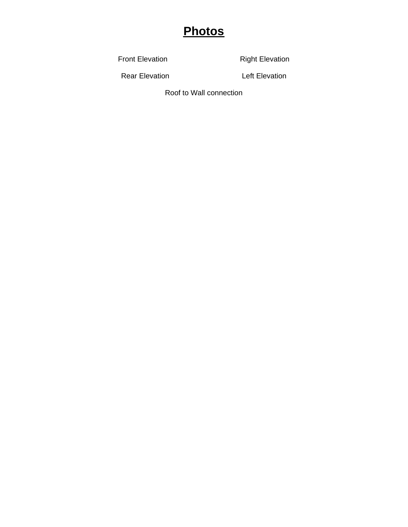## **Photos**

Front Elevation **Right Elevation** 

Rear Elevation **Left Elevation** 

Roof to Wall connection